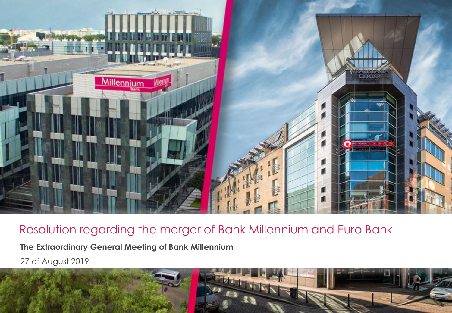

**The Extraordinary General Meeting of Bank Millennium**

27 of August 2019

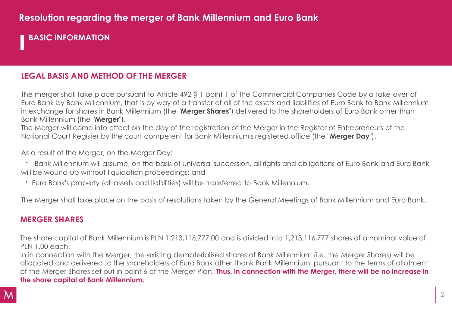**BASIC INFORMATION**

#### **LEGAL BASIS AND METHOD OF THE MERGER**

The merger shall take place pursuant to Article 492 § 1 point 1 of the Commercial Companies Code by a take-over of Euro Bank by Bank Millennium, that is by way of a transfer of all of the assets and liabilities of Euro Bank to Bank Millennium in exchange for shares in Bank Millennium (the "**Merger Shares**") delivered to the shareholders of Euro Bank other than Bank Millennium (the "**Merger**").

The Merger will come into effect on the day of the registration of the Merger in the Register of Entrepreneurs of the National Court Register by the court competent for Bank Millennium's registered office (the "**Merger Day**").

As a result of the Merger, on the Merger Day:

**·** Bank Millennium will assume, on the basis of universal succession, all rights and obligations of Euro Bank and Euro Bank will be wound-up without liquidation proceedings; and

**·** Euro Bank's property (all assets and liabilities) will be transferred to Bank Millennium.

The Merger shall take place on the basis of resolutions taken by the General Meetings of Bank Millennium and Euro Bank.

#### **MERGER SHARES**

The share capital of Bank Millennium is PLN 1,213,116,777.00 and is divided into 1,213,116,777 shares of a nominal value of PLN 1.00 each.

In in connection with the Merger, the existing dematerialised shares of Bank Millennium (i.e. the Merger Shares) will be allocated and delivered to the shareholders of Euro Bank other thank Bank Millennium, pursuant to the terms of allotment of the Merger Shares set out in point 6 of the Merger Plan. **Thus, in connection with the Merger, there will be no increase in the share capital of Bank Millennium.**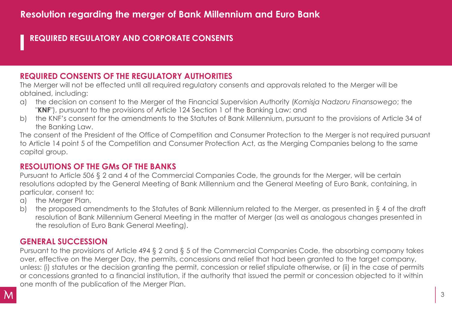### **REQUIRED REGULATORY AND CORPORATE CONSENTS**

#### **REQUIRED CONSENTS OF THE REGULATORY AUTHORITIES**

The Merger will not be effected until all required regulatory consents and approvals related to the Merger will be obtained, including:

- a) the decision on consent to the Merger of the Financial Supervision Authority (*Komisja Nadzoru Finansowego*; the "**KNF**"), pursuant to the provisions of Article 124 Section 1 of the Banking Law; and
- b) the KNF's consent for the amendments to the Statutes of Bank Millennium, pursuant to the provisions of Article 34 of the Banking Law.

The consent of the President of the Office of Competition and Consumer Protection to the Merger is not required pursuant to Article 14 point 5 of the Competition and Consumer Protection Act, as the Merging Companies belong to the same capital group.

#### **RESOLUTIONS OF THE GMs OF THE BANKS**

Pursuant to Article 506 § 2 and 4 of the Commercial Companies Code, the grounds for the Merger, will be certain resolutions adopted by the General Meeting of Bank Millennium and the General Meeting of Euro Bank, containing, in particular, consent to:

- a) the Merger Plan,
- b) the proposed amendments to the Statutes of Bank Millennium related to the Merger, as presented in § 4 of the draft resolution of Bank Millennium General Meeting in the matter of Merger (as well as analogous changes presented in the resolution of Euro Bank General Meeting).

#### **GENERAL SUCCESSION**

Pursuant to the provisions of Article 494 § 2 and § 5 of the Commercial Companies Code, the absorbing company takes over, effective on the Merger Day, the permits, concessions and relief that had been granted to the target company, unless: (i) statutes or the decision granting the permit, concession or relief stipulate otherwise, or (ii) in the case of permits or concessions granted to a financial institution, if the authority that issued the permit or concession objected to it within one month of the publication of the Merger Plan.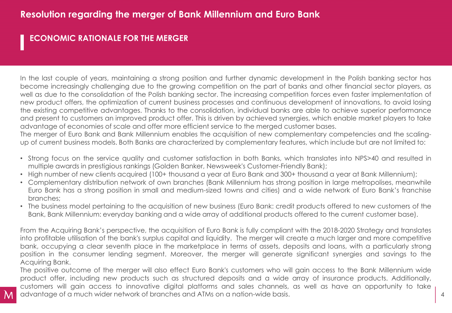### **ECONOMIC RATIONALE FOR THE MERGER**

In the last couple of years, maintaining a strong position and further dynamic development in the Polish banking sector has become increasingly challenging due to the growing competition on the part of banks and other financial sector players, as well as due to the consolidation of the Polish banking sector. The increasing competition forces even faster implementation of new product offers, the optimization of current business processes and continuous development of innovations, to avoid losing the existing competitive advantages. Thanks to the consolidation, individual banks are able to achieve superior performance and present to customers an improved product offer. This is driven by achieved synergies, which enable market players to take advantage of economies of scale and offer more efficient service to the merged customer bases.

The merger of Euro Bank and Bank Millennium enables the acquisition of new complementary competencies and the scalingup of current business models. Both Banks are characterized by complementary features, which include but are not limited to:

- Strong focus on the service quality and customer satisfaction in both Banks, which translates into NPS>40 and resulted in multiple awards in prestigious rankings (Golden Banker, Newsweek's Customer-Friendly Bank);
- High number of new clients acquired (100+ thousand a year at Euro Bank and 300+ thousand a year at Bank Millennium);
- Complementary distribution network of own branches (Bank Millennium has strong position in large metropolises, meanwhile Euro Bank has a strong position in small and medium-sized towns and cities) and a wide network of Euro Bank's franchise branches;
- The business model pertaining to the acquisition of new business (Euro Bank: credit products offered to new customers of the Bank, Bank Millennium: everyday banking and a wide array of additional products offered to the current customer base).

From the Acquiring Bank's perspective, the acquisition of Euro Bank is fully compliant with the 2018-2020 Strategy and translates into profitable utilisation of the bank's surplus capital and liquidity. The merger will create a much larger and more competitive bank, occupying a clear seventh place in the marketplace in terms of assets, deposits and loans, with a particularly strong position in the consumer lending segment. Moreover, the merger will generate significant synergies and savings to the Acquiring Bank.

The positive outcome of the merger will also effect Euro Bank's customers who will gain access to the Bank Millennium wide product offer, including new products such as structured deposits and a wide array of insurance products. Additionally, customers will gain access to innovative digital platforms and sales channels, as well as have an opportunity to take advantage of a much wider network of branches and ATMs on a nation-wide basis.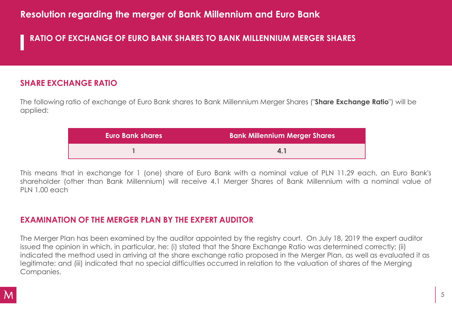### **RATIO OF EXCHANGE OF EURO BANK SHARES TO BANK MILLENNIUM MERGER SHARES**

#### **SHARE EXCHANGE RATIO**

The following ratio of exchange of Euro Bank shares to Bank Millennium Merger Shares ("**Share Exchange Ratio**") will be applied:

| <b>Euro Bank shares</b> | <b>Bank Millennium Merger Shares</b> |
|-------------------------|--------------------------------------|
|                         |                                      |

This means that in exchange for 1 (one) share of Euro Bank with a nominal value of PLN 11.29 each, an Euro Bank's shareholder (other than Bank Millennium) will receive 4.1 Merger Shares of Bank Millennium with a nominal value of PLN 1.00 each

### **EXAMINATION OF THE MERGER PLAN BY THE EXPERT AUDITOR**

The Merger Plan has been examined by the auditor appointed by the registry court. On July 18, 2019 the expert auditor issued the opinion in which, in particular, he: (i) stated that the Share Exchange Ratio was determined correctly; (ii) indicated the method used in arriving at the share exchange ratio proposed in the Merger Plan, as well as evaluated it as legitimate; and (iii) indicated that no special difficulties occurred in relation to the valuation of shares of the Merging Companies.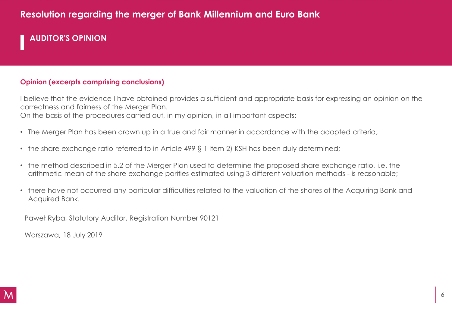## **AUDITOR'S OPINION**

#### **Opinion (excerpts comprising conclusions)**

I believe that the evidence I have obtained provides a sufficient and appropriate basis for expressing an opinion on the correctness and fairness of the Merger Plan. On the basis of the procedures carried out, in my opinion, in all important aspects:

- The Merger Plan has been drawn up in a true and fair manner in accordance with the adopted criteria;
- the share exchange ratio referred to in Article 499 § 1 item 2) KSH has been duly determined;
- the method described in 5.2 of the Merger Plan used to determine the proposed share exchange ratio, i.e. the arithmetic mean of the share exchange parities estimated using 3 different valuation methods - is reasonable;
- there have not occurred any particular difficulties related to the valuation of the shares of the Acquiring Bank and Acquired Bank.

Paweł Ryba, Statutory Auditor, Registration Number 90121

Warszawa, 18 July 2019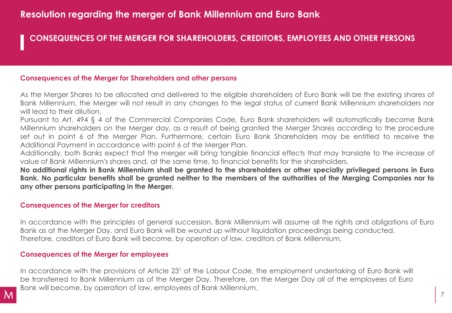#### **CONSEQUENCES OF THE MERGER FOR SHAREHOLDERS, CREDITORS, EMPLOYEES AND OTHER PERSONS**

#### **Consequences of the Merger for Shareholders and other persons**

As the Merger Shares to be allocated and delivered to the eligible shareholders of Euro Bank will be the existing shares of Bank Millennium, the Merger will not result in any changes to the legal status of current Bank Millennium shareholders nor will lead to their dilution.

Pursuant to Art. 494 § 4 of the Commercial Companies Code, Euro Bank shareholders will automatically become Bank Millennium shareholders on the Merger day, as a result of being granted the Merger Shares according to the procedure set out in point 6 of the Merger Plan. Furthermore, certain Euro Bank Shareholders may be entitled to receive the Additional Payment in accordance with point 6 of the Merger Plan.

Additionally, both Banks expect that the merger will bring tangible financial effects that may translate to the increase of value of Bank Millennium's shares and, at the same time, to financial benefits for the shareholders.

No additional rights in Bank Millennium shall be granted to the shareholders or other specially privileged persons in Euro Bank. No particular benefits shall be granted neither to the members of the authorities of the Merging Companies nor to **any other persons participating in the Merger.**

#### **Consequences of the Merger for creditors**

In accordance with the principles of general succession, Bank Millennium will assume all the rights and obligations of Euro Bank as at the Merger Day, and Euro Bank will be wound up without liquidation proceedings being conducted. Therefore, creditors of Euro Bank will become, by operation of law, creditors of Bank Millennium.

#### **Consequences of the Merger for employees**

In accordance with the provisions of Article 23<sup>1</sup> of the Labour Code, the employment undertaking of Euro Bank will be transferred to Bank Millennium as of the Merger Day. Therefore, on the Merger Day all of the employees of Euro Bank will become, by operation of law, employees of Bank Millennium.